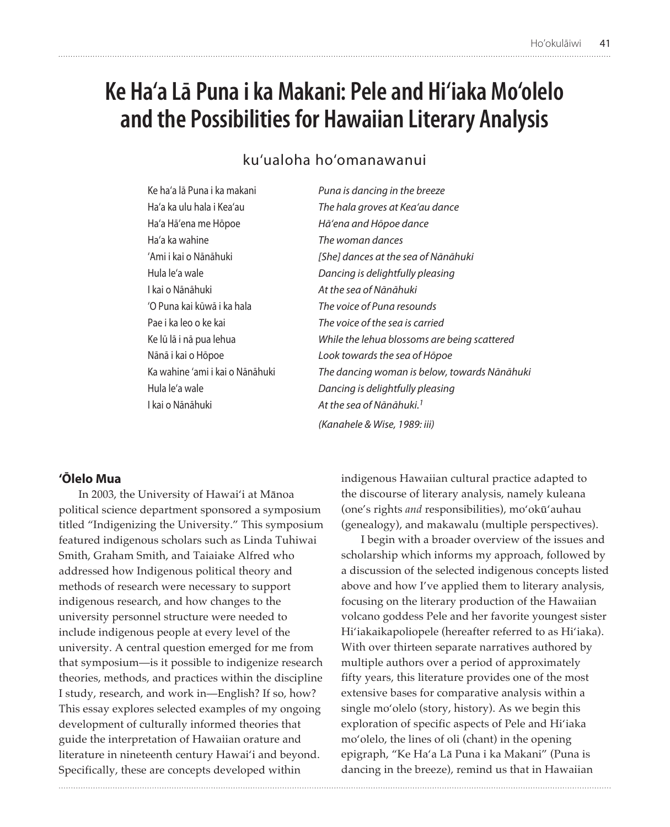# **Ke Ha'a Lā Puna i ka Makani: Pele and Hi'iaka Mo'olelo and the Possibilities for Hawaiian Literary Analysis**

# ku'ualoha ho'omanawanui

| Ke ha'a lā Puna i ka makani     |  |  |  |  |
|---------------------------------|--|--|--|--|
| Ha'a ka ulu hala i Kea'au       |  |  |  |  |
| Ha'a Hā'ena me Hōpoe            |  |  |  |  |
| Ha'a ka wahine                  |  |  |  |  |
| 'Ami i kai o Nānāhuki           |  |  |  |  |
| Hula le'a wale                  |  |  |  |  |
| I kai o Nānāhuki                |  |  |  |  |
| 'O Puna kai kūwā i ka hala      |  |  |  |  |
| Pae i ka leo o ke kai           |  |  |  |  |
| Ke lū lā i nā pua lehua         |  |  |  |  |
| Nānā i kai o Hōpoe              |  |  |  |  |
| Ka wahine 'ami i kai o Nānāhuki |  |  |  |  |
| Hula le'a wale                  |  |  |  |  |
| I kai o Nānāhuki                |  |  |  |  |
|                                 |  |  |  |  |

Puna is dancing in the breeze The hala groves at Kea'au dance Hā'ena and Hōpoe dance The woman dances [She] dances at the sea of Nānāhuki Dancing is delightfully pleasing At the sea of Nānāhuki The voice of Puna resounds The voice of the sea is carried While the lehua blossoms are being scattered Look towards the sea of Hōpoe The dancing woman is below, towards Nānāhuki Dancing is delightfully pleasing At the sea of Nānāhuki.<sup>1</sup> (Kanahele & Wise, 1989: iii)

# **'Ōlelo Mua**

In 2003, the University of Hawai'i at Mānoa political science department sponsored a symposium titled "Indigenizing the University." This symposium featured indigenous scholars such as Linda Tuhiwai Smith, Graham Smith, and Taiaiake Alfred who addressed how Indigenous political theory and methods of research were necessary to support indigenous research, and how changes to the university personnel structure were needed to include indigenous people at every level of the university. A central question emerged for me from that symposium—is it possible to indigenize research theories, methods, and practices within the discipline I study, research, and work in—English? If so, how? This essay explores selected examples of my ongoing development of culturally informed theories that guide the interpretation of Hawaiian orature and literature in nineteenth century Hawai'i and beyond. Specifically, these are concepts developed within

indigenous Hawaiian cultural practice adapted to the discourse of literary analysis, namely kuleana (one's rights *and* responsibilities), mo'okū'auhau (genealogy), and makawalu (multiple perspectives).

I begin with a broader overview of the issues and scholarship which informs my approach, followed by a discussion of the selected indigenous concepts listed above and how I've applied them to literary analysis, focusing on the literary production of the Hawaiian volcano goddess Pele and her favorite youngest sister Hi'iakaikapoliopele (hereafter referred to as Hi'iaka). With over thirteen separate narratives authored by multiple authors over a period of approximately fifty years, this literature provides one of the most extensive bases for comparative analysis within a single mo'olelo (story, history). As we begin this exploration of specific aspects of Pele and Hi'iaka mo'olelo, the lines of oli (chant) in the opening epigraph, "Ke Ha'a Lā Puna i ka Makani" (Puna is dancing in the breeze), remind us that in Hawaiian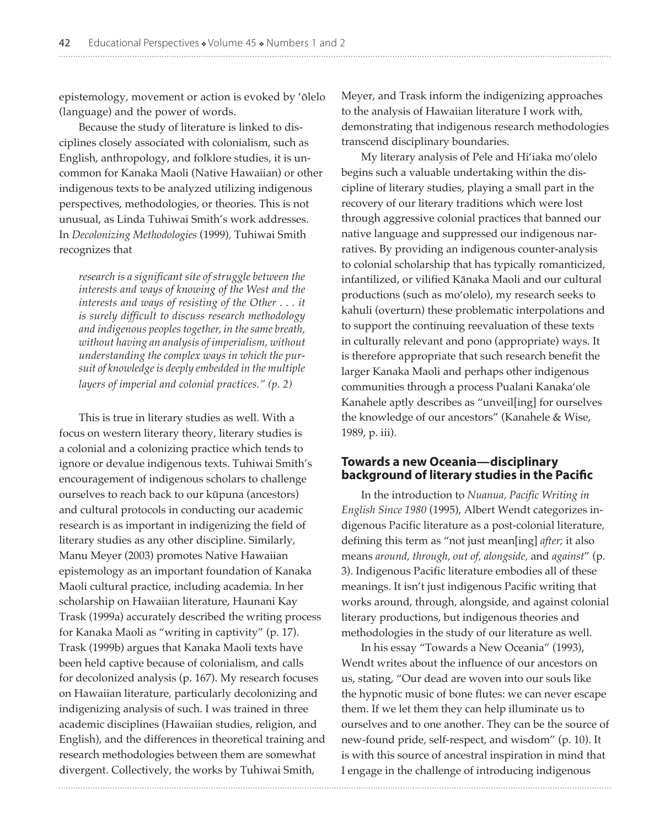epistemology, movement or action is evoked by 'ōlelo (language) and the power of words.

Because the study of literature is linked to disciplines closely associated with colonialism, such as English, anthropology, and folklore studies, it is uncommon for Kanaka Maoli (Native Hawaiian) or other indigenous texts to be analyzed utilizing indigenous perspectives, methodologies, or theories. This is not unusual, as Linda Tuhiwai Smith's work addresses. In *Decolonizing Methodologies* (1999)*,* Tuhiwai Smith recognizes that

*research is a significant site of struggle between the interests and ways of knowing of the West and the interests and ways of resisting of the Other . . . it is surely difficult to discuss research methodology and indigenous peoples together, in the same breath, without having an analysis of imperialism, without understanding the complex ways in which the pursuit of knowledge is deeply embedded in the multiple layers of imperial and colonial practices." (p. 2)*

This is true in literary studies as well. With a focus on western literary theory, literary studies is a colonial and a colonizing practice which tends to ignore or devalue indigenous texts. Tuhiwai Smith's encouragement of indigenous scholars to challenge ourselves to reach back to our kūpuna (ancestors) and cultural protocols in conducting our academic research is as important in indigenizing the field of literary studies as any other discipline. Similarly, Manu Meyer (2003) promotes Native Hawaiian epistemology as an important foundation of Kanaka Maoli cultural practice, including academia. In her scholarship on Hawaiian literature, Haunani Kay Trask (1999a) accurately described the writing process for Kanaka Maoli as "writing in captivity" (p. 17). Trask (1999b) argues that Kanaka Maoli texts have been held captive because of colonialism, and calls for decolonized analysis (p. 167). My research focuses on Hawaiian literature, particularly decolonizing and indigenizing analysis of such. I was trained in three academic disciplines (Hawaiian studies, religion, and English), and the differences in theoretical training and research methodologies between them are somewhat divergent. Collectively, the works by Tuhiwai Smith,

Meyer, and Trask inform the indigenizing approaches to the analysis of Hawaiian literature I work with, demonstrating that indigenous research methodologies transcend disciplinary boundaries.

My literary analysis of Pele and Hi'iaka mo'olelo begins such a valuable undertaking within the discipline of literary studies, playing a small part in the recovery of our literary traditions which were lost through aggressive colonial practices that banned our native language and suppressed our indigenous narratives. By providing an indigenous counter-analysis to colonial scholarship that has typically romanticized, infantilized, or vilified Kānaka Maoli and our cultural productions (such as mo'olelo), my research seeks to kahuli (overturn) these problematic interpolations and to support the continuing reevaluation of these texts in culturally relevant and pono (appropriate) ways. It is therefore appropriate that such research benefit the larger Kanaka Maoli and perhaps other indigenous communities through a process Pualani Kanaka'ole Kanahele aptly describes as "unveil[ing] for ourselves the knowledge of our ancestors" (Kanahele & Wise, 1989, p. iii).

#### **Towards a new Oceania—disciplinary background of literary studies in the Paci'c**

In the introduction to *Nuanua*, *Pacific Writing in* English Since 1980 (1995), Albert Wendt categorizes indigenous Pacific literature as a post-colonial literature, defining this term as "not just mean[ing] *after;* it also means *around, through, out of, alongside,* and *against"* (p. 3). Indigenous Pacific literature embodies all of these meanings. It isn't just indigenous Pacific writing that works around, through, alongside, and against colonial literary productions, but indigenous theories and methodologies in the study of our literature as well.

In his essay "Towards a New Oceania" (1993), Wendt writes about the influence of our ancestors on us, stating, "Our dead are woven into our souls like the hypnotic music of bone flutes: we can never escape them. If we let them they can help illuminate us to ourselves and to one another. They can be the source of new-found pride, self-respect, and wisdom" (p. 10). It is with this source of ancestral inspiration in mind that I engage in the challenge of introducing indigenous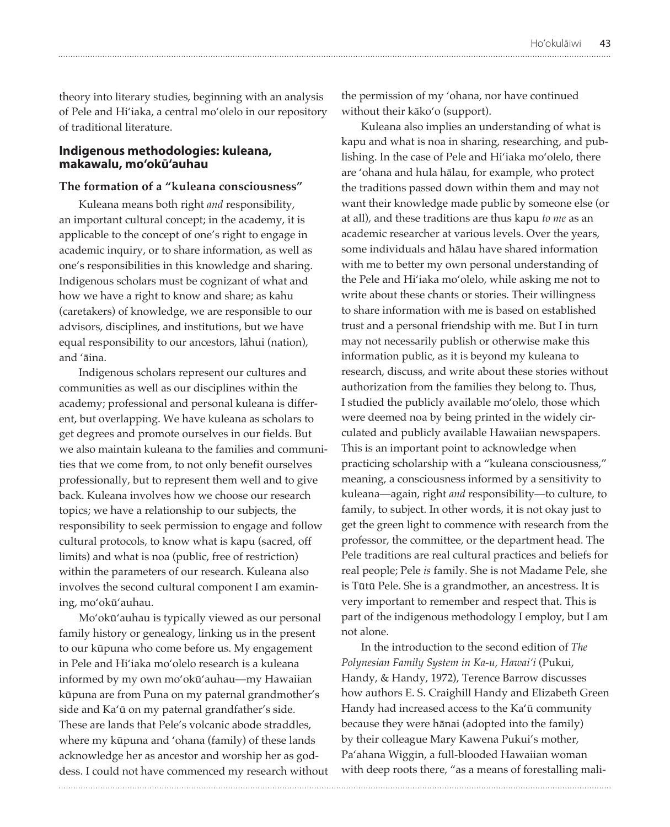theory into literary studies, beginning with an analysis of Pele and Hi'iaka, a central mo'olelo in our repository of traditional literature.

#### **Indigenous methodologies: kuleana, makawalu, mo'okū'auhau**

## **The formation of a "kuleana consciousness"**

Kuleana means both right *and* responsibility, an important cultural concept; in the academy, it is applicable to the concept of one's right to engage in academic inquiry, or to share information, as well as one's responsibilities in this knowledge and sharing. Indigenous scholars must be cognizant of what and how we have a right to know and share; as kahu (caretakers) of knowledge, we are responsible to our advisors, disciplines, and institutions, but we have equal responsibility to our ancestors, lāhui (nation), and 'āina.

Indigenous scholars represent our cultures and communities as well as our disciplines within the academy; professional and personal kuleana is different, but overlapping. We have kuleana as scholars to get degrees and promote ourselves in our fields. But we also maintain kuleana to the families and communities that we come from, to not only benefit ourselves professionally, but to represent them well and to give back. Kuleana involves how we choose our research topics; we have a relationship to our subjects, the responsibility to seek permission to engage and follow cultural protocols, to know what is kapu (sacred, off limits) and what is noa (public, free of restriction) within the parameters of our research. Kuleana also involves the second cultural component I am examining, mo'okū'auhau.

Mo'okū'auhau is typically viewed as our personal family history or genealogy, linking us in the present to our kūpuna who come before us. My engagement in Pele and Hi'iaka mo'olelo research is a kuleana informed by my own mo'okū'auhau—my Hawaiian kūpuna are from Puna on my paternal grandmother's side and Ka'ū on my paternal grandfather's side. These are lands that Pele's volcanic abode straddles, where my kūpuna and 'ohana (family) of these lands acknowledge her as ancestor and worship her as goddess. I could not have commenced my research without the permission of my 'ohana, nor have continued without their kāko'o (support).

Kuleana also implies an understanding of what is kapu and what is noa in sharing, researching, and publishing. In the case of Pele and Hi'iaka mo'olelo, there are 'ohana and hula hālau, for example, who protect the traditions passed down within them and may not want their knowledge made public by someone else (or at all), and these traditions are thus kapu *to me* as an academic researcher at various levels. Over the years, some individuals and hālau have shared information with me to better my own personal understanding of the Pele and Hi'iaka mo'olelo, while asking me not to write about these chants or stories. Their willingness to share information with me is based on established trust and a personal friendship with me. But I in turn may not necessarily publish or otherwise make this information public, as it is beyond my kuleana to research, discuss, and write about these stories without authorization from the families they belong to. Thus, I studied the publicly available mo'olelo, those which were deemed noa by being printed in the widely circulated and publicly available Hawaiian newspapers. This is an important point to acknowledge when practicing scholarship with a "kuleana consciousness," meaning, a consciousness informed by a sensitivity to kuleana—again, right *and* responsibility—to culture, to family, to subject. In other words, it is not okay just to get the green light to commence with research from the professor, the committee, or the department head. The Pele traditions are real cultural practices and beliefs for real people; Pele *is* family. She is not Madame Pele, she is Tūtū Pele. She is a grandmother, an ancestress. It is very important to remember and respect that. This is part of the indigenous methodology I employ, but I am not alone.

In the introduction to the second edition of *The*  Polynesian Family System in Ka-u, Hawai'i (Pukui, Handy, & Handy, 1972), Terence Barrow discusses how authors E. S. Craighill Handy and Elizabeth Green Handy had increased access to the Ka'ū community because they were hānai (adopted into the family) by their colleague Mary Kawena Pukui's mother, Pa'ahana Wiggin, a full-blooded Hawaiian woman with deep roots there, "as a means of forestalling mali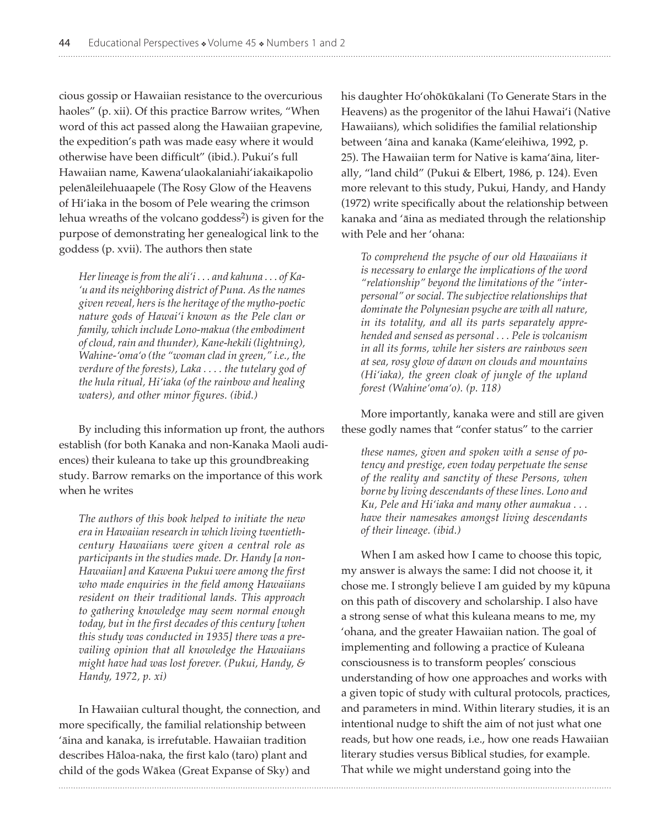cious gossip or Hawaiian resistance to the overcurious haoles" (p. xii). Of this practice Barrow writes, "When word of this act passed along the Hawaiian grapevine, the expedition's path was made easy where it would otherwise have been difficult" (ibid.). Pukui's full Hawaiian name, Kawena'ulaokalaniahi'iakaikapolio pelenāleilehuaapele (The Rosy Glow of the Heavens of Hi'iaka in the bosom of Pele wearing the crimson lehua wreaths of the volcano goddess<sup>2</sup>) is given for the purpose of demonstrating her genealogical link to the goddess (p. xvii). The authors then state

*Her lineage is from the ali'i . . . and kahuna . . . of Ka- 'u and its neighboring district of Puna. As the names given reveal, hers is the heritage of the mytho-poetic nature gods of Hawai'i known as the Pele clan or family, which include Lono-makua (the embodiment of cloud, rain and thunder), Kane-hekili (lightning), Wahine-'oma'o (the "woman clad in green," i.e., the verdure of the forests), Laka . . . . the tutelary god of the hula ritual, Hi'iaka (of the rainbow and healing waters), and other minor figures. (ibid.)* 

By including this information up front, the authors establish (for both Kanaka and non-Kanaka Maoli audiences) their kuleana to take up this groundbreaking study. Barrow remarks on the importance of this work when he writes

*The authors of this book helped to initiate the new era in Hawaiian research in which living twentiethcentury Hawaiians were given a central role as participants in the studies made. Dr. Handy [a non- Hawaiian]* and Kawena Pukui were among the first *who made enquiries in the field among Hawaiians resident on their traditional lands. This approach to gathering knowledge may seem normal enough today, but in the first decades of this century [when this study was conducted in 1935] there was a prevailing opinion that all knowledge the Hawaiians might have had was lost forever. (Pukui, Handy, & Handy, 1972, p. xi)* 

In Hawaiian cultural thought, the connection, and more specifically, the familial relationship between 'āina and kanaka, is irrefutable. Hawaiian tradition describes Hāloa-naka, the first kalo (taro) plant and child of the gods Wākea (Great Expanse of Sky) and

his daughter Ho'ohōkūkalani (To Generate Stars in the Heavens) as the progenitor of the lāhui Hawai'i (Native Hawaiians), which solidifies the familial relationship between 'āina and kanaka (Kame'eleihiwa, 1992, p. 25). The Hawaiian term for Native is kama'āina, literally, "land child" (Pukui & Elbert, 1986, p. 124). Even more relevant to this study, Pukui, Handy, and Handy (1972) write specifically about the relationship between kanaka and 'āina as mediated through the relationship with Pele and her 'ohana:

*To comprehend the psyche of our old Hawaiians it is necessary to enlarge the implications of the word "relationship" beyond the limitations of the "interpersonal" or social. The subjective relationships that dominate the Polynesian psyche are with all nature, in its totality, and all its parts separately apprehended and sensed as personal . . . Pele is volcanism in all its forms, while her sisters are rainbows seen at sea, rosy glow of dawn on clouds and mountains (Hi'iaka), the green cloak of jungle of the upland forest (Wahine'oma'o). (p. 118)*

More importantly, kanaka were and still are given these godly names that "confer status" to the carrier

*these names, given and spoken with a sense of potency and prestige, even today perpetuate the sense of the reality and sanctity of these Persons, when borne by living descendants of these lines. Lono and Ku, Pele and Hi'iaka and many other aumakua . . . have their namesakes amongst living descendants of their lineage. (ibid.)* 

When I am asked how I came to choose this topic, my answer is always the same: I did not choose it, it chose me. I strongly believe I am guided by my kūpuna on this path of discovery and scholarship. I also have a strong sense of what this kuleana means to me, my 'ohana, and the greater Hawaiian nation. The goal of implementing and following a practice of Kuleana consciousness is to transform peoples' conscious understanding of how one approaches and works with a given topic of study with cultural protocols, practices, and parameters in mind. Within literary studies, it is an intentional nudge to shift the aim of not just what one reads, but how one reads, i.e., how one reads Hawaiian literary studies versus Biblical studies, for example. That while we might understand going into the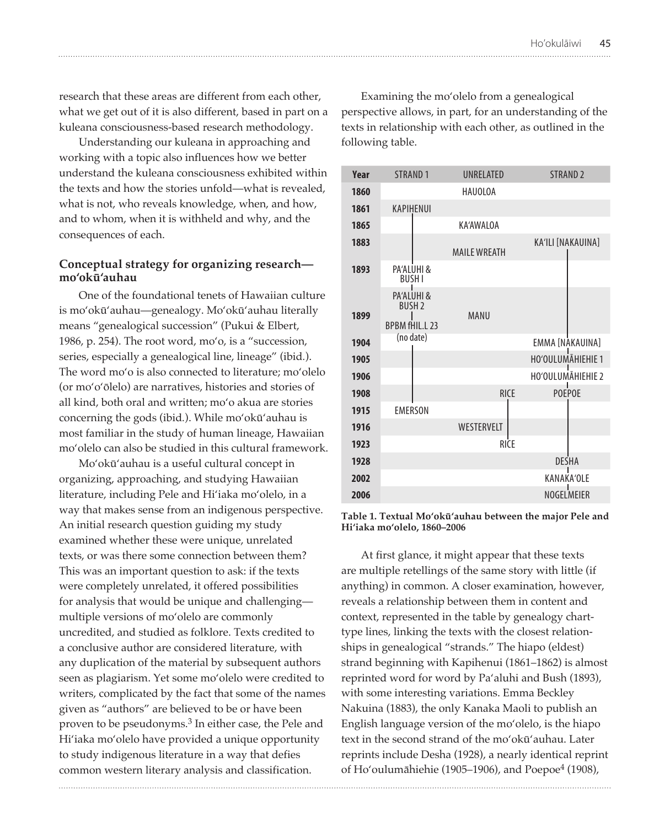research that these areas are different from each other, what we get out of it is also different, based in part on a kuleana consciousness-based research methodology.

Understanding our kuleana in approaching and working with a topic also influences how we better understand the kuleana consciousness exhibited within the texts and how the stories unfold—what is revealed, what is not, who reveals knowledge, when, and how, and to whom, when it is withheld and why, and the consequences of each.

## **Conceptual strategy for organizing research** mo'okū'auhau

One of the foundational tenets of Hawaiian culture is mo'okū'auhau-genealogy. Mo'okū'auhau literally means "genealogical succession" (Pukui & Elbert, 1986, p. 254). The root word, mo'o, is a "succession, series, especially a genealogical line, lineage" (ibid.). The word mo'o is also connected to literature; mo'olelo (or mo'o'ōlelo) are narratives, histories and stories of all kind, both oral and written; mo'o akua are stories concerning the gods (ibid.). While mo'okū'auhau is most familiar in the study of human lineage, Hawaiian mo'olelo can also be studied in this cultural framework.

Mo'okū'auhau is a useful cultural concept in organizing, approaching, and studying Hawaiian literature, including Pele and Hi'iaka mo'olelo, in a way that makes sense from an indigenous perspective. An initial research question guiding my study examined whether these were unique, unrelated texts, or was there some connection between them? This was an important question to ask: if the texts were completely unrelated, it offered possibilities for analysis that would be unique and challenging multiple versions of mo'olelo are commonly uncredited, and studied as folklore. Texts credited to a conclusive author are considered literature, with any duplication of the material by subsequent authors seen as plagiarism. Yet some mo'olelo were credited to writers, complicated by the fact that some of the names given as "authors" are believed to be or have been proven to be pseudonyms.<sup>3</sup> In either case, the Pele and Hi'iaka mo'olelo have provided a unique opportunity to study indigenous literature in a way that defies common western literary analysis and classification.

Examining the mo'olelo from a genealogical perspective allows, in part, for an understanding of the texts in relationship with each other, as outlined in the following table.

| Year | <b>STRAND1</b>              | UNRELATED           | <b>STRAND 2</b>   |
|------|-----------------------------|---------------------|-------------------|
| 1860 |                             | HAUOLOA             |                   |
| 1861 | <b>KAPIHENUI</b>            |                     |                   |
| 1865 |                             | KA'AWALOA           |                   |
| 1883 |                             | <b>MAILE WREATH</b> | KA'ILI [NAKAUINA] |
| 1893 | PA'ALUHI &<br><b>BUSHI</b>  |                     |                   |
|      | PA'ALUHI &<br><b>BUSH 2</b> |                     |                   |
| 1899 | <b>BPBM fHIL.L 23</b>       | MANU                |                   |
| 1904 | (no date)                   |                     | EMMA [NAKAUINA]   |
| 1905 |                             |                     | HO'OULUMAHIEHIE 1 |
| 1906 |                             |                     | HO'OULUMĀHIEHIE 2 |
| 1908 |                             | <b>RICE</b>         | <b>POEPOE</b>     |
| 1915 | <b>EMERSON</b>              |                     |                   |
| 1916 |                             | WESTERVELT          |                   |
| 1923 |                             | <b>RICE</b>         |                   |
| 1928 |                             |                     | DESHA             |
| 2002 |                             |                     | KANAKA'OLE        |
| 2006 |                             |                     | NOGELMEIER        |

Table 1. Textual Mo'okū'auhau between the major Pele and **Hi'iaka mo'olelo, 1860–2006**

At first glance, it might appear that these texts are multiple retellings of the same story with little (if anything) in common. A closer examination, however, reveals a relationship between them in content and context, represented in the table by genealogy charttype lines, linking the texts with the closest relationships in genealogical "strands." The hiapo (eldest) strand beginning with Kapihenui (1861–1862) is almost reprinted word for word by Pa'aluhi and Bush (1893), with some interesting variations. Emma Beckley Nakuina (1883), the only Kanaka Maoli to publish an English language version of the mo'olelo, is the hiapo text in the second strand of the mo'okū'auhau. Later reprints include Desha (1928), a nearly identical reprint of Ho'oulumāhiehie (1905–1906), and Poepoe $4$  (1908),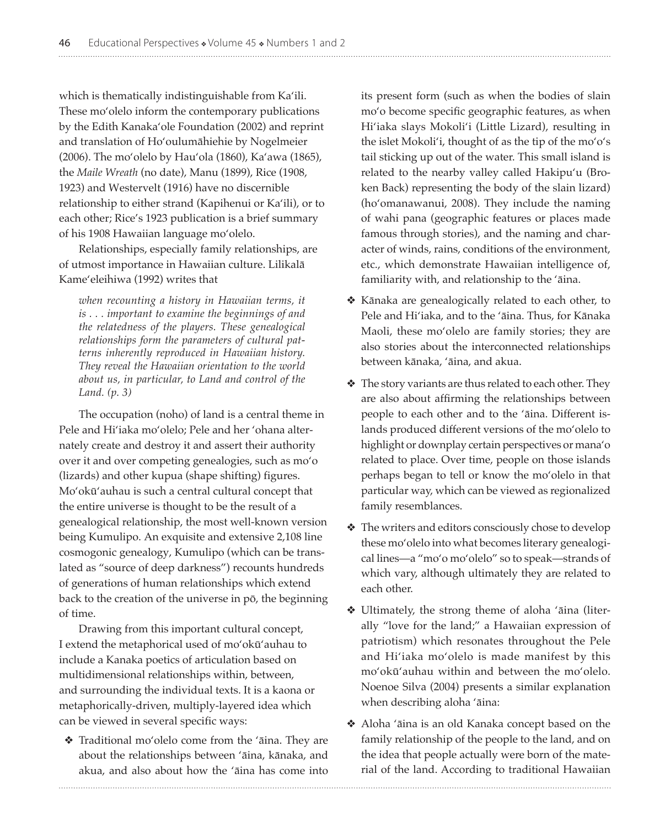which is thematically indistinguishable from Ka'ili. These mo'olelo inform the contemporary publications by the Edith Kanaka'ole Foundation (2002) and reprint and translation of Ho'oulumāhiehie by Nogelmeier (2006). The mo'olelo by Hau'ola (1860), Ka'awa (1865), the *Maile Wreath* (no date), Manu (1899), Rice (1908, 1923) and Westervelt (1916) have no discernible relationship to either strand (Kapihenui or Ka'ili), or to each other; Rice's 1923 publication is a brief summary of his 1908 Hawaiian language mo'olelo.

Relationships, especially family relationships, are of utmost importance in Hawaiian culture. Lilikalā Kame'eleihiwa (1992) writes that

*when recounting a history in Hawaiian terms, it is . . . important to examine the beginnings of and the relatedness of the players. These genealogical relationships form the parameters of cultural patterns inherently reproduced in Hawaiian history. They reveal the Hawaiian orientation to the world about us, in particular, to Land and control of the Land. (p. 3)*

The occupation (noho) of land is a central theme in Pele and Hi'iaka mo'olelo; Pele and her 'ohana alternately create and destroy it and assert their authority over it and over competing genealogies, such as mo'o (lizards) and other kupua (shape shifting) figures. Mo'okū'auhau is such a central cultural concept that the entire universe is thought to be the result of a genealogical relationship, the most well-known version being Kumulipo. An exquisite and extensive 2,108 line cosmogonic genealogy, Kumulipo (which can be translated as "source of deep darkness") recounts hundreds of generations of human relationships which extend back to the creation of the universe in pō, the beginning of time.

Drawing from this important cultural concept, I extend the metaphorical used of mo'okū'auhau to include a Kanaka poetics of articulation based on multidimensional relationships within, between, and surrounding the individual texts. It is a kaona or metaphorically-driven, multiply-layered idea which can be viewed in several specific ways:

 $\triangle$  Traditional mo'olelo come from the 'āina. They are about the relationships between 'āina, kānaka, and akua, and also about how the 'aina has come into its present form (such as when the bodies of slain mo'o become specific geographic features, as when Hi'iaka slays Mokoli'i (Little Lizard), resulting in the islet Mokoli'i, thought of as the tip of the mo'o's tail sticking up out of the water. This small island is related to the nearby valley called Hakipu'u (Broken Back) representing the body of the slain lizard) (ho'omanawanui, 2008). They include the naming of wahi pana (geographic features or places made famous through stories), and the naming and character of winds, rains, conditions of the environment, etc., which demonstrate Hawaiian intelligence of, familiarity with, and relationship to the 'āina.

- $\triangle$  Kānaka are genealogically related to each other, to Pele and Hi'iaka, and to the 'āina. Thus, for Kānaka Maoli, these mo'olelo are family stories; they are also stories about the interconnected relationships between kānaka, 'āina, and akua.
- $\triangleleft$  The story variants are thus related to each other. They are also about affirming the relationships between people to each other and to the 'āina. Different islands produced different versions of the mo'olelo to highlight or downplay certain perspectives or mana'o related to place. Over time, people on those islands perhaps began to tell or know the mo'olelo in that particular way, which can be viewed as regionalized family resemblances.
- $\triangleleft$  The writers and editors consciously chose to develop these mo'olelo into what becomes literary genealogical lines-a "mo'o mo'olelo" so to speak-strands of which vary, although ultimately they are related to each other.
- ◆ Ultimately, the strong theme of aloha 'āina (literally "love for the land;" a Hawaiian expression of patriotism) which resonates throughout the Pele and Hi'iaka mo'olelo is made manifest by this mo'okū'auhau within and between the mo'olelo. Noenoe Silva (2004) presents a similar explanation when describing aloha 'āina:
- Aloha 'āina is an old Kanaka concept based on the family relationship of the people to the land, and on the idea that people actually were born of the material of the land. According to traditional Hawaiian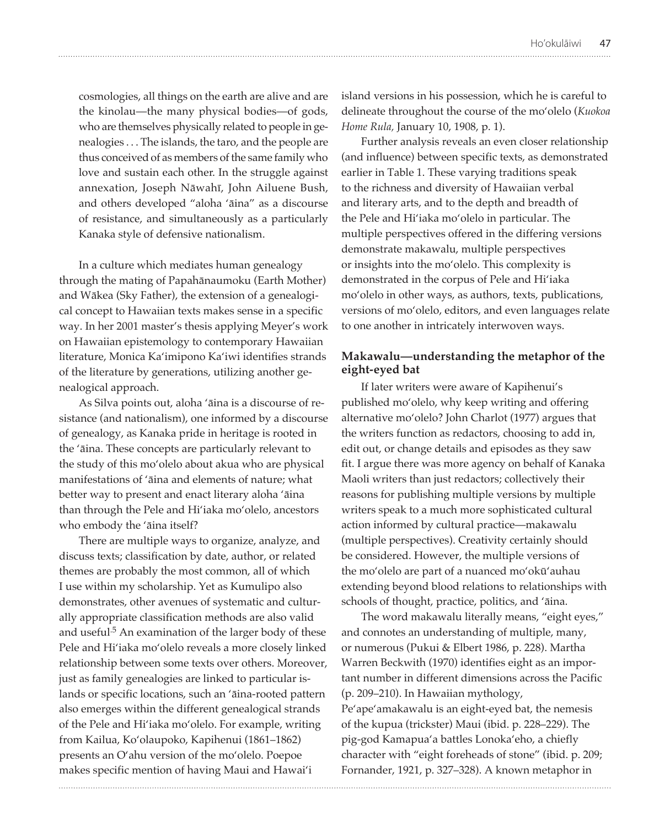cosmologies, all things on the earth are alive and are the kinolau—the many physical bodies—of gods, who are themselves physically related to people in genealogies . . . The islands, the taro, and the people are thus conceived of as members of the same family who love and sustain each other. In the struggle against annexation, Joseph Nāwahī, John Ailuene Bush, and others developed "aloha 'āina" as a discourse of resistance, and simultaneously as a particularly Kanaka style of defensive nationalism.

In a culture which mediates human genealogy through the mating of Papahānaumoku (Earth Mother) and Wākea (Sky Father), the extension of a genealogical concept to Hawaiian texts makes sense in a specific way. In her 2001 master's thesis applying Meyer's work on Hawaiian epistemology to contemporary Hawaiian literature, Monica Ka'imipono Ka'iwi identifies strands of the literature by generations, utilizing another genealogical approach.

As Silva points out, aloha 'āina is a discourse of resistance (and nationalism), one informed by a discourse of genealogy, as Kanaka pride in heritage is rooted in the 'āina. These concepts are particularly relevant to the study of this mo'olelo about akua who are physical manifestations of 'āina and elements of nature; what better way to present and enact literary aloha 'āina than through the Pele and Hi'iaka mo'olelo, ancestors who embody the 'āina itself?

There are multiple ways to organize, analyze, and discuss texts; classification by date, author, or related themes are probably the most common, all of which I use within my scholarship. Yet as Kumulipo also demonstrates, other avenues of systematic and culturally appropriate classification methods are also valid and useful.<sup>5</sup> An examination of the larger body of these Pele and Hi'iaka mo'olelo reveals a more closely linked relationship between some texts over others. Moreover, just as family genealogies are linked to particular islands or specific locations, such an 'āina-rooted pattern also emerges within the different genealogical strands of the Pele and Hi'iaka mo'olelo. For example, writing from Kailua, Ko'olaupoko, Kapihenui (1861–1862) presents an O'ahu version of the mo'olelo. Poepoe makes specific mention of having Maui and Hawai'i

island versions in his possession, which he is careful to delineate throughout the course of the mo'olelo (*Kuokoa Home Rula,* January 10, 1908, p. 1).

Further analysis reveals an even closer relationship (and influence) between specific texts, as demonstrated earlier in Table 1. These varying traditions speak to the richness and diversity of Hawaiian verbal and literary arts, and to the depth and breadth of the Pele and Hi'iaka mo'olelo in particular. The multiple perspectives offered in the differing versions demonstrate makawalu, multiple perspectives or insights into the mo'olelo. This complexity is demonstrated in the corpus of Pele and Hi'iaka mo'olelo in other ways, as authors, texts, publications, versions of mo'olelo, editors, and even languages relate to one another in intricately interwoven ways.

## **Makawalu—understanding the metaphor of the eight-eyed bat**

If later writers were aware of Kapihenui's published mo'olelo, why keep writing and offering alternative mo'olelo? John Charlot (1977) argues that the writers function as redactors, choosing to add in, edit out, or change details and episodes as they saw fit. I argue there was more agency on behalf of Kanaka Maoli writers than just redactors; collectively their reasons for publishing multiple versions by multiple writers speak to a much more sophisticated cultural action informed by cultural practice—makawalu (multiple perspectives). Creativity certainly should be considered. However, the multiple versions of the mo'olelo are part of a nuanced mo'okū'auhau extending beyond blood relations to relationships with schools of thought, practice, politics, and 'āina.

The word makawalu literally means, "eight eyes," and connotes an understanding of multiple, many, or numerous (Pukui & Elbert 1986, p. 228). Martha Warren Beckwith (1970) identifies eight as an important number in different dimensions across the Pacific (p. 209–210). In Hawaiian mythology, Pe'ape'amakawalu is an eight-eyed bat, the nemesis of the kupua (trickster) Maui (ibid. p. 228–229). The pig-god Kamapua'a battles Lonoka'eho, a chiefly character with "eight foreheads of stone" (ibid. p. 209; Fornander, 1921, p. 327–328). A known metaphor in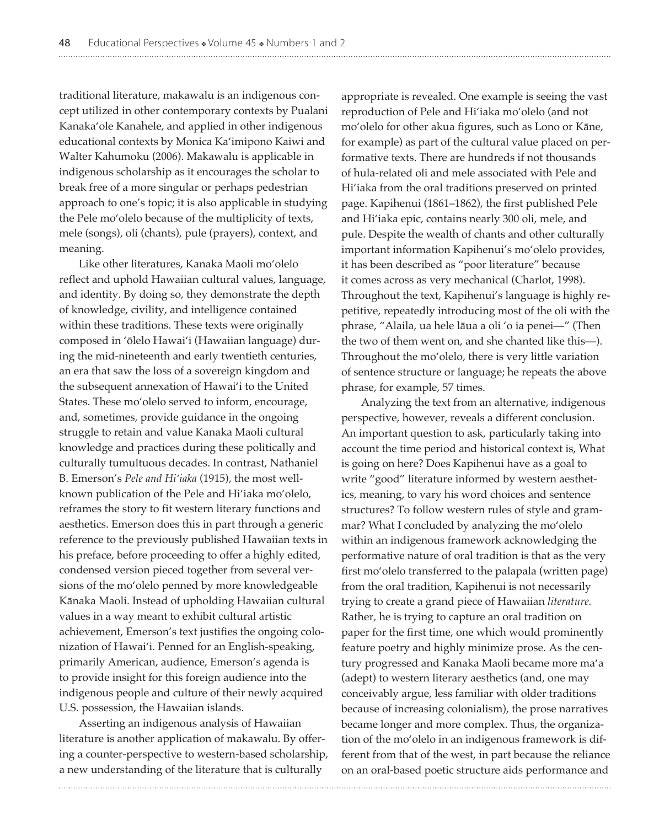traditional literature, makawalu is an indigenous concept utilized in other contemporary contexts by Pualani Kanaka'ole Kanahele, and applied in other indigenous educational contexts by Monica Ka'imipono Kaiwi and Walter Kahumoku (2006). Makawalu is applicable in indigenous scholarship as it encourages the scholar to break free of a more singular or perhaps pedestrian approach to one's topic; it is also applicable in studying the Pele mo'olelo because of the multiplicity of texts, mele (songs), oli (chants), pule (prayers), context, and meaning.

Like other literatures, Kanaka Maoli mo'olelo reflect and uphold Hawaiian cultural values, language, and identity. By doing so, they demonstrate the depth of knowledge, civility, and intelligence contained within these traditions. These texts were originally composed in 'ōlelo Hawai'i (Hawaiian language) during the mid-nineteenth and early twentieth centuries, an era that saw the loss of a sovereign kingdom and the subsequent annexation of Hawai'i to the United States. These mo'olelo served to inform, encourage, and, sometimes, provide guidance in the ongoing struggle to retain and value Kanaka Maoli cultural knowledge and practices during these politically and culturally tumultuous decades. In contrast, Nathaniel B. Emerson's *Pele and Hi'iaka* (1915), the most wellknown publication of the Pele and Hi'iaka mo'olelo, reframes the story to fit western literary functions and aesthetics. Emerson does this in part through a generic reference to the previously published Hawaiian texts in his preface, before proceeding to offer a highly edited, condensed version pieced together from several versions of the mo'olelo penned by more knowledgeable Kānaka Maoli. Instead of upholding Hawaiian cultural values in a way meant to exhibit cultural artistic achievement, Emerson's text justifies the ongoing colonization of Hawai'i. Penned for an English-speaking, primarily American, audience, Emerson's agenda is to provide insight for this foreign audience into the indigenous people and culture of their newly acquired U.S. possession, the Hawaiian islands.

Asserting an indigenous analysis of Hawaiian literature is another application of makawalu. By offering a counter-perspective to western-based scholarship, a new understanding of the literature that is culturally

appropriate is revealed. One example is seeing the vast reproduction of Pele and Hi'iaka mo'olelo (and not mo'olelo for other akua figures, such as Lono or Kāne, for example) as part of the cultural value placed on performative texts. There are hundreds if not thousands of hula-related oli and mele associated with Pele and Hi'iaka from the oral traditions preserved on printed page. Kapihenui (1861–1862), the first published Pele and Hi'iaka epic, contains nearly 300 oli, mele, and pule. Despite the wealth of chants and other culturally important information Kapihenui's mo'olelo provides, it has been described as "poor literature" because it comes across as very mechanical (Charlot, 1998). Throughout the text, Kapihenui's language is highly repetitive, repeatedly introducing most of the oli with the phrase, "Alaila, ua hele lãua a oli 'o ia penei—" (Then the two of them went on, and she chanted like this—). Throughout the mo'olelo, there is very little variation of sentence structure or language; he repeats the above phrase, for example, 57 times.

Analyzing the text from an alternative, indigenous perspective, however, reveals a different conclusion. An important question to ask, particularly taking into account the time period and historical context is, What is going on here? Does Kapihenui have as a goal to write "good" literature informed by western aesthetics, meaning, to vary his word choices and sentence structures? To follow western rules of style and grammar? What I concluded by analyzing the mo'olelo within an indigenous framework acknowledging the performative nature of oral tradition is that as the very first mo'olelo transferred to the palapala (written page) from the oral tradition, Kapihenui is not necessarily trying to create a grand piece of Hawaiian *literature.*  Rather*,* he is trying to capture an oral tradition on paper for the first time, one which would prominently feature poetry and highly minimize prose. As the century progressed and Kanaka Maoli became more ma'a (adept) to western literary aesthetics (and, one may conceivably argue, less familiar with older traditions because of increasing colonialism), the prose narratives became longer and more complex. Thus, the organization of the mo'olelo in an indigenous framework is different from that of the west, in part because the reliance on an oral-based poetic structure aids performance and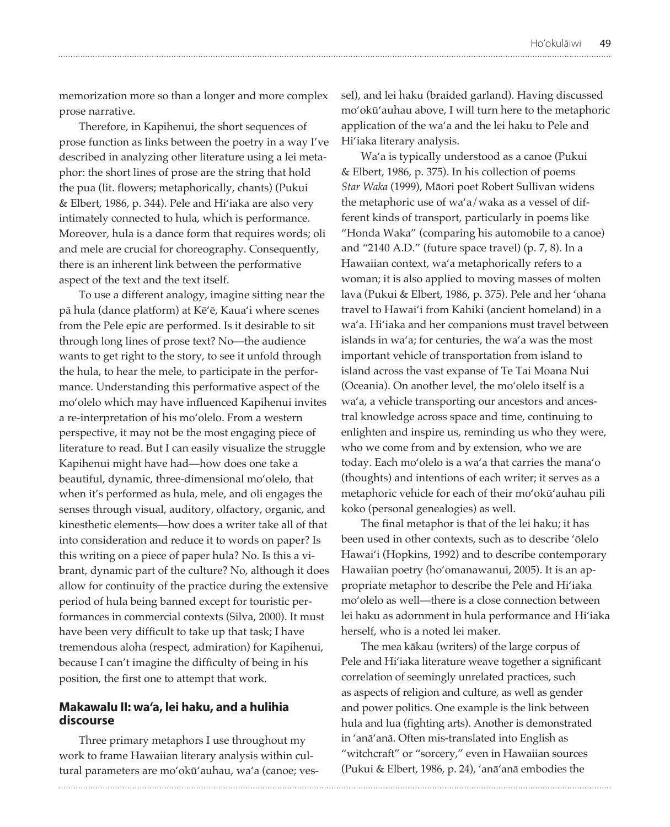memorization more so than a longer and more complex prose narrative.

Therefore, in Kapihenui, the short sequences of prose function as links between the poetry in a way I've described in analyzing other literature using a lei metaphor: the short lines of prose are the string that hold the pua (lit. flowers; metaphorically, chants) (Pukui & Elbert, 1986, p. 344). Pele and Hi'iaka are also very intimately connected to hula, which is performance. Moreover, hula is a dance form that requires words; oli and mele are crucial for choreography. Consequently, there is an inherent link between the performative aspect of the text and the text itself.

To use a different analogy, imagine sitting near the pā hula (dance platform) at Kē'ē, Kaua'i where scenes from the Pele epic are performed. Is it desirable to sit through long lines of prose text? No—the audience wants to get right to the story, to see it unfold through the hula, to hear the mele, to participate in the performance. Understanding this performative aspect of the mo'olelo which may have influenced Kapihenui invites a re-interpretation of his mo'olelo. From a western perspective, it may not be the most engaging piece of literature to read. But I can easily visualize the struggle Kapihenui might have had—how does one take a beautiful, dynamic, three-dimensional mo'olelo, that when it's performed as hula, mele, and oli engages the senses through visual, auditory, olfactory, organic, and kinesthetic elements—how does a writer take all of that into consideration and reduce it to words on paper? Is this writing on a piece of paper hula? No. Is this a vibrant, dynamic part of the culture? No, although it does allow for continuity of the practice during the extensive period of hula being banned except for touristic performances in commercial contexts (Silva, 2000). It must have been very difficult to take up that task; I have tremendous aloha (respect, admiration) for Kapihenui, because I can't imagine the difficulty of being in his position, the first one to attempt that work.

#### **Makawalu II: wa'a, lei haku, and a hulihia discourse**

Three primary metaphors I use throughout my work to frame Hawaiian literary analysis within cultural parameters are mo'okū'auhau, wa'a (canoe; vessel), and lei haku (braided garland). Having discussed mo'okū'auhau above, I will turn here to the metaphoric application of the wa'a and the lei haku to Pele and Hi'iaka literary analysis.

Wa'a is typically understood as a canoe (Pukui & Elbert, 1986, p. 375). In his collection of poems Star Waka (1999), Māori poet Robert Sullivan widens the metaphoric use of wa'a/waka as a vessel of different kinds of transport, particularly in poems like "Honda Waka" (comparing his automobile to a canoe) and "2140 A.D." (future space travel) (p.  $7, 8$ ). In a Hawaiian context, wa'a metaphorically refers to a woman; it is also applied to moving masses of molten lava (Pukui & Elbert, 1986, p. 375). Pele and her 'ohana travel to Hawai'i from Kahiki (ancient homeland) in a wa'a. Hi'iaka and her companions must travel between islands in wa'a; for centuries, the wa'a was the most important vehicle of transportation from island to island across the vast expanse of Te Tai Moana Nui (Oceania). On another level, the mo'olelo itself is a wa'a, a vehicle transporting our ancestors and ancestral knowledge across space and time, continuing to enlighten and inspire us, reminding us who they were, who we come from and by extension, who we are today. Each mo'olelo is a wa'a that carries the mana'o (thoughts) and intentions of each writer; it serves as a metaphoric vehicle for each of their mo'okū'auhau pili koko (personal genealogies) as well.

The final metaphor is that of the lei haku; it has been used in other contexts, such as to describe 'ōlelo Hawai'i (Hopkins, 1992) and to describe contemporary Hawaiian poetry (ho'omanawanui, 2005). It is an appropriate metaphor to describe the Pele and Hi'iaka mo'olelo as well—there is a close connection between lei haku as adornment in hula performance and Hi'iaka herself, who is a noted lei maker.

The mea kākau (writers) of the large corpus of Pele and Hi'iaka literature weave together a significant correlation of seemingly unrelated practices, such as aspects of religion and culture, as well as gender and power politics. One example is the link between hula and lua (fighting arts). Another is demonstrated in 'anā'anā. Often mis-translated into English as "witchcraft" or "sorcery," even in Hawaiian sources (Pukui & Elbert, 1986, p. 24), 'anā'anā embodies the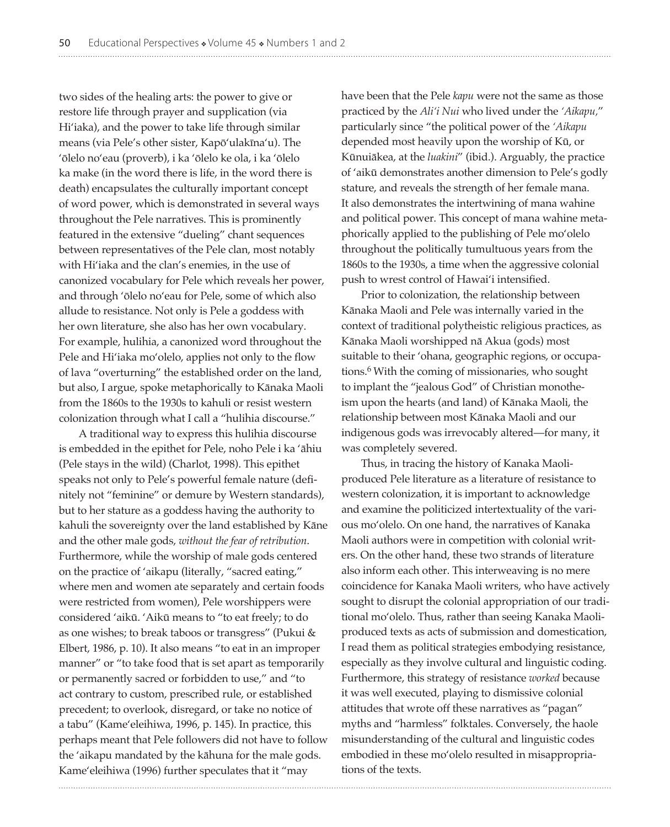two sides of the healing arts: the power to give or restore life through prayer and supplication (via Hi'iaka), and the power to take life through similar means (via Pele's other sister, Kapō'ulakīna'u). The 'ōlelo no'eau (proverb), i ka 'ōlelo ke ola, i ka 'ōlelo ka make (in the word there is life, in the word there is death) encapsulates the culturally important concept of word power, which is demonstrated in several ways throughout the Pele narratives. This is prominently featured in the extensive "dueling" chant sequences between representatives of the Pele clan, most notably with Hi'iaka and the clan's enemies, in the use of canonized vocabulary for Pele which reveals her power, and through 'ōlelo no'eau for Pele, some of which also allude to resistance. Not only is Pele a goddess with her own literature, she also has her own vocabulary. For example, hulihia, a canonized word throughout the Pele and Hi'iaka mo'olelo, applies not only to the flow of lava "overturning" the established order on the land, but also, I argue, spoke metaphorically to Kānaka Maoli from the 1860s to the 1930s to kahuli or resist western colonization through what I call a "hulihia discourse."

A traditional way to express this hulihia discourse is embedded in the epithet for Pele, noho Pele i ka 'āhiu (Pele stays in the wild) (Charlot, 1998). This epithet speaks not only to Pele's powerful female nature (definitely not "feminine" or demure by Western standards), but to her stature as a goddess having the authority to kahuli the sovereignty over the land established by Kāne and the other male gods, *without the fear of retribution*. Furthermore, while the worship of male gods centered on the practice of 'aikapu (literally, "sacred eating," where men and women ate separately and certain foods were restricted from women), Pele worshippers were considered 'aikū. 'Aikū means to "to eat freely; to do as one wishes; to break taboos or transgress" (Pukui  $\&$ Elbert, 1986, p. 10). It also means "to eat in an improper manner" or "to take food that is set apart as temporarily or permanently sacred or forbidden to use," and "to act contrary to custom, prescribed rule, or established precedent; to overlook, disregard, or take no notice of a tabu" (Kame'eleihiwa, 1996, p. 145). In practice, this perhaps meant that Pele followers did not have to follow the 'aikapu mandated by the kāhuna for the male gods. Kame'eleihiwa (1996) further speculates that it "may

have been that the Pele *kapu* were not the same as those practiced by the *Ali'i Nui* who lived under the 'Aikapu," particularly since "the political power of the *'Aikapu* depended most heavily upon the worship of Kū, or Kūnuiākea, at the luakini" (ibid.). Arguably, the practice of 'aikū demonstrates another dimension to Pele's godly stature, and reveals the strength of her female mana. It also demonstrates the intertwining of mana wahine and political power. This concept of mana wahine metaphorically applied to the publishing of Pele mo'olelo throughout the politically tumultuous years from the 1860s to the 1930s, a time when the aggressive colonial push to wrest control of Hawai'i intensified.

Prior to colonization, the relationship between Kānaka Maoli and Pele was internally varied in the context of traditional polytheistic religious practices, as Kānaka Maoli worshipped nā Akua (gods) most suitable to their 'ohana, geographic regions, or occupations.<sup>6</sup> With the coming of missionaries, who sought to implant the "jealous God" of Christian monotheism upon the hearts (and land) of Kānaka Maoli, the relationship between most Kānaka Maoli and our indigenous gods was irrevocably altered—for many, it was completely severed.

Thus, in tracing the history of Kanaka Maoliproduced Pele literature as a literature of resistance to western colonization, it is important to acknowledge and examine the politicized intertextuality of the various mo'olelo. On one hand, the narratives of Kanaka Maoli authors were in competition with colonial writers. On the other hand, these two strands of literature also inform each other. This interweaving is no mere coincidence for Kanaka Maoli writers, who have actively sought to disrupt the colonial appropriation of our traditional mo'olelo. Thus, rather than seeing Kanaka Maoliproduced texts as acts of submission and domestication, I read them as political strategies embodying resistance, especially as they involve cultural and linguistic coding. Furthermore, this strategy of resistance *worked* because it was well executed, playing to dismissive colonial attitudes that wrote off these narratives as "pagan" myths and "harmless" folktales. Conversely, the haole misunderstanding of the cultural and linguistic codes embodied in these mo'olelo resulted in misappropriations of the texts.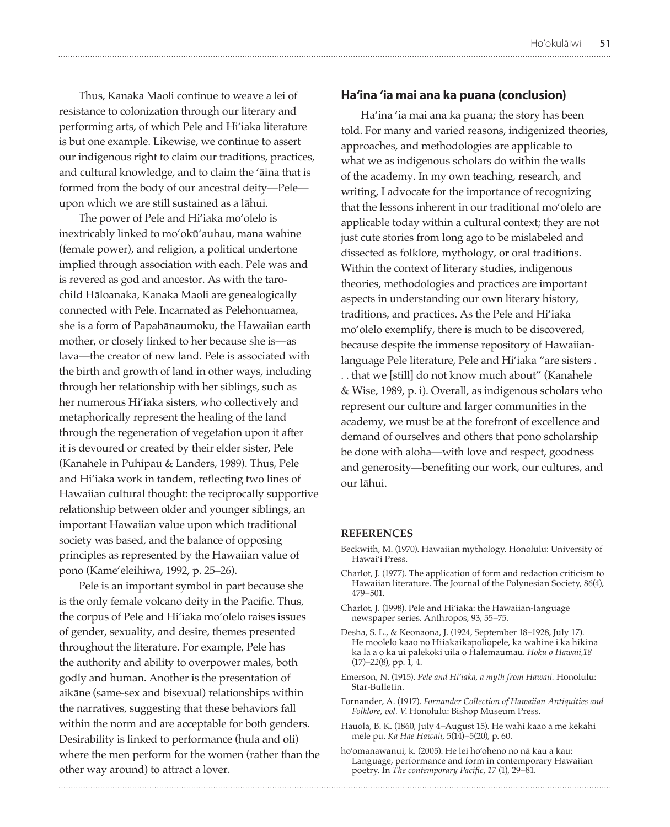Thus, Kanaka Maoli continue to weave a lei of resistance to colonization through our literary and performing arts, of which Pele and Hi'iaka literature is but one example. Likewise, we continue to assert our indigenous right to claim our traditions, practices, and cultural knowledge, and to claim the 'āina that is formed from the body of our ancestral deity—Pele upon which we are still sustained as a lāhui.

The power of Pele and Hi'iaka mo'olelo is inextricably linked to mo'okū'auhau, mana wahine (female power), and religion, a political undertone implied through association with each. Pele was and is revered as god and ancestor. As with the tarochild Hāloanaka, Kanaka Maoli are genealogically connected with Pele. Incarnated as Pelehonuamea, she is a form of Papahānaumoku, the Hawaiian earth mother, or closely linked to her because she is—as lava—the creator of new land. Pele is associated with the birth and growth of land in other ways, including through her relationship with her siblings, such as her numerous Hi'iaka sisters, who collectively and metaphorically represent the healing of the land through the regeneration of vegetation upon it after it is devoured or created by their elder sister, Pele (Kanahele in Puhipau & Landers, 1989). Thus, Pele and Hi'iaka work in tandem, reflecting two lines of Hawaiian cultural thought: the reciprocally supportive relationship between older and younger siblings, an important Hawaiian value upon which traditional society was based, and the balance of opposing principles as represented by the Hawaiian value of pono (Kame'eleihiwa, 1992, p. 25–26).

Pele is an important symbol in part because she is the only female volcano deity in the Pacific. Thus, the corpus of Pele and Hi'iaka mo'olelo raises issues of gender, sexuality, and desire, themes presented throughout the literature. For example, Pele has the authority and ability to overpower males, both godly and human. Another is the presentation of aikāne (same-sex and bisexual) relationships within the narratives, suggesting that these behaviors fall within the norm and are acceptable for both genders. Desirability is linked to performance (hula and oli) where the men perform for the women (rather than the other way around) to attract a lover.

#### **Ha'ina 'ia mai ana ka puana (conclusion)**

Ha'ina 'ia mai ana ka puana*;* the story has been told. For many and varied reasons, indigenized theories, approaches, and methodologies are applicable to what we as indigenous scholars do within the walls of the academy. In my own teaching, research, and writing, I advocate for the importance of recognizing that the lessons inherent in our traditional mo'olelo are applicable today within a cultural context; they are not just cute stories from long ago to be mislabeled and dissected as folklore, mythology, or oral traditions. Within the context of literary studies, indigenous theories, methodologies and practices are important aspects in understanding our own literary history, traditions, and practices. As the Pele and Hi'iaka mo'olelo exemplify, there is much to be discovered, because despite the immense repository of Hawaiianlanguage Pele literature, Pele and Hi'iaka "are sisters . .. that we [still] do not know much about" (Kanahele & Wise, 1989, p. i). Overall, as indigenous scholars who represent our culture and larger communities in the academy, we must be at the forefront of excellence and demand of ourselves and others that pono scholarship be done with aloha—with love and respect, goodness and generosity—benefiting our work, our cultures, and our lāhui.

#### **REFERENCES**

- Beckwith, M. (1970). Hawaiian mythology. Honolulu: University of Hawai'i Press.
- Charlot, J. (1977). The application of form and redaction criticism to Hawaiian literature. The Journal of the Polynesian Society, 86(4), 479–501.
- Charlot, J. (1998). Pele and Hi'iaka: the Hawaiian-language newspaper series. Anthropos, 93, 55–75.
- Desha, S. L., & Keonaona, J. (1924, September 18–1928, July 17). He moolelo kaao no Hiiakaikapoliopele, ka wahine i ka hikina ka la a o ka ui palekoki uila o Halemaumau. *Hoku o Hawaii,18* (17)–*22*(8), pp. 1, 4.
- Emerson, N. (1915). *Pele and Hi'iaka, a myth from Hawaii.* Honolulu: Star-Bulletin.
- Fornander, A. (1917). Fornander Collection of Hawaiian Antiquities and Folklore, vol. V. Honolulu: Bishop Museum Press.
- Hauola, B. K. (1860, July 4–August 15). He wahi kaao a me kekahi mele pu. *Ka Hae Hawaii,* 5(14)–5(20), p. 60.
- ho'omanawanui, k. (2005). He lei ho'oheno no nā kau a kau: Language, performance and form in contemporary Hawaiian poetry. In *The contemporary Pacific*, 17 (1), 29–81.